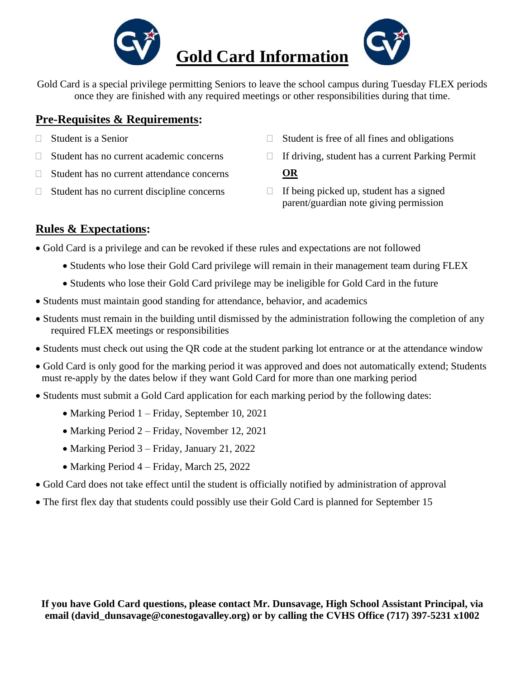

Gold Card is a special privilege permitting Seniors to leave the school campus during Tuesday FLEX periods once they are finished with any required meetings or other responsibilities during that time.

## **Pre-Requisites & Requirements:**

- $\Box$  Student is a Senior
- $\Box$  Student has no current academic concerns
- □ Student has no current attendance concerns
- $\Box$  Student has no current discipline concerns
- $\Box$  Student is free of all fines and obligations
- $\Box$  If driving, student has a current Parking Permit **OR**
- $\Box$  If being picked up, student has a signed parent/guardian note giving permission

## **Rules & Expectations:**

- Gold Card is a privilege and can be revoked if these rules and expectations are not followed
	- Students who lose their Gold Card privilege will remain in their management team during FLEX
	- Students who lose their Gold Card privilege may be ineligible for Gold Card in the future
- Students must maintain good standing for attendance, behavior, and academics
- Students must remain in the building until dismissed by the administration following the completion of any required FLEX meetings or responsibilities
- Students must check out using the QR code at the student parking lot entrance or at the attendance window
- Gold Card is only good for the marking period it was approved and does not automatically extend; Students must re-apply by the dates below if they want Gold Card for more than one marking period
- Students must submit a Gold Card application for each marking period by the following dates:
	- Marking Period 1 Friday, September 10, 2021
	- Marking Period 2 Friday, November 12, 2021
	- Marking Period 3 Friday, January 21, 2022
	- Marking Period 4 Friday, March 25, 2022
- Gold Card does not take effect until the student is officially notified by administration of approval
- The first flex day that students could possibly use their Gold Card is planned for September 15

**If you have Gold Card questions, please contact Mr. Dunsavage, High School Assistant Principal, via email (david\_dunsavage@conestogavalley.org) or by calling the CVHS Office (717) 397-5231 x1002**